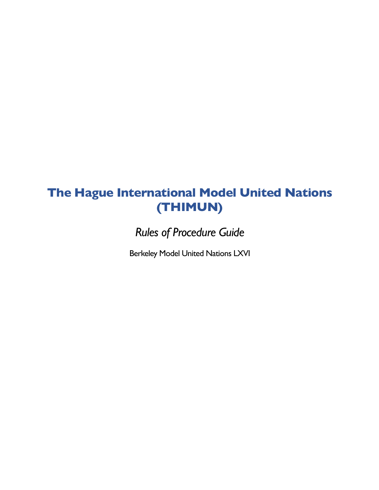# **The Hague International Model United Nations (THIMUN)**

*Rules of Procedure Guide*

Berkeley Model United Nations LXVI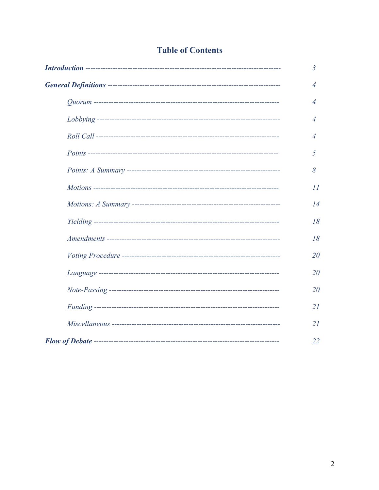## **Table of Contents**

| $\overline{3}$ |
|----------------|
| $\overline{4}$ |
| $\overline{4}$ |
| $\overline{4}$ |
| 4              |
| 5              |
| 8              |
| II             |
| 14             |
| 18             |
| 18             |
| 20             |
| 20             |
| 20             |
| 21             |
| 21             |
| 22             |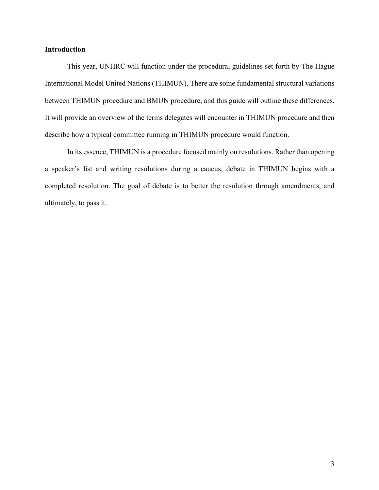## **Introduction**

This year, UNHRC will function under the procedural guidelines set forth by The Hague International Model United Nations (THIMUN). There are some fundamental structural variations between THIMUN procedure and BMUN procedure, and this guide will outline these differences. It will provide an overview of the terms delegates will encounter in THIMUN procedure and then describe how a typical committee running in THIMUN procedure would function.

In its essence, THIMUN is a procedure focused mainly on resolutions. Rather than opening a speaker's list and writing resolutions during a caucus, debate in THIMUN begins with a completed resolution. The goal of debate is to better the resolution through amendments, and ultimately, to pass it.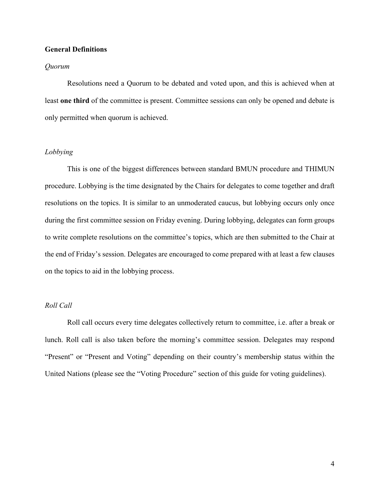#### **General Definitions**

#### *Quorum*

Resolutions need a Quorum to be debated and voted upon, and this is achieved when at least **one third** of the committee is present. Committee sessions can only be opened and debate is only permitted when quorum is achieved.

#### *Lobbying*

This is one of the biggest differences between standard BMUN procedure and THIMUN procedure. Lobbying is the time designated by the Chairs for delegates to come together and draft resolutions on the topics. It is similar to an unmoderated caucus, but lobbying occurs only once during the first committee session on Friday evening. During lobbying, delegates can form groups to write complete resolutions on the committee's topics, which are then submitted to the Chair at the end of Friday's session. Delegates are encouraged to come prepared with at least a few clauses on the topics to aid in the lobbying process.

#### *Roll Call*

Roll call occurs every time delegates collectively return to committee, i.e. after a break or lunch. Roll call is also taken before the morning's committee session. Delegates may respond "Present" or "Present and Voting" depending on their country's membership status within the United Nations (please see the "Voting Procedure" section of this guide for voting guidelines).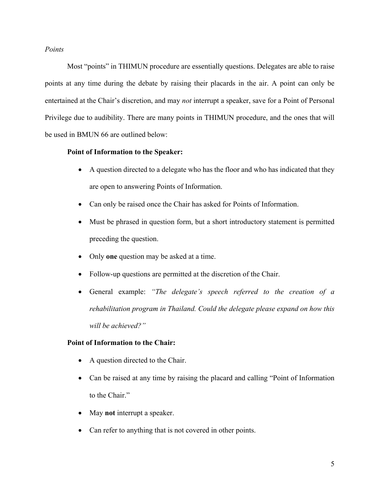## *Points*

Most "points" in THIMUN procedure are essentially questions. Delegates are able to raise points at any time during the debate by raising their placards in the air. A point can only be entertained at the Chair's discretion, and may *not* interrupt a speaker, save for a Point of Personal Privilege due to audibility. There are many points in THIMUN procedure, and the ones that will be used in BMUN 66 are outlined below:

## **Point of Information to the Speaker:**

- A question directed to a delegate who has the floor and who has indicated that they are open to answering Points of Information.
- Can only be raised once the Chair has asked for Points of Information.
- Must be phrased in question form, but a short introductory statement is permitted preceding the question.
- Only **one** question may be asked at a time.
- Follow-up questions are permitted at the discretion of the Chair.
- General example: *"The delegate's speech referred to the creation of a rehabilitation program in Thailand. Could the delegate please expand on how this will be achieved?"*

## **Point of Information to the Chair:**

- A question directed to the Chair.
- Can be raised at any time by raising the placard and calling "Point of Information" to the Chair."
- May **not** interrupt a speaker.
- Can refer to anything that is not covered in other points.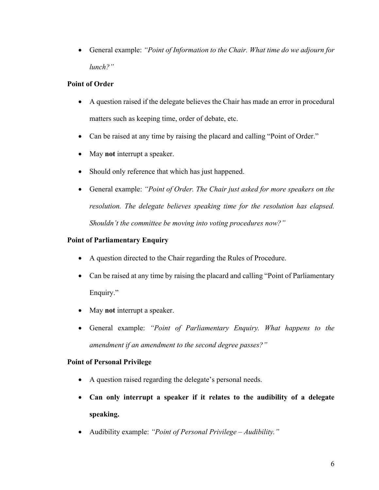• General example: *"Point of Information to the Chair. What time do we adjourn for lunch?"* 

## **Point of Order**

- A question raised if the delegate believes the Chair has made an error in procedural matters such as keeping time, order of debate, etc.
- Can be raised at any time by raising the placard and calling "Point of Order."
- May **not** interrupt a speaker.
- Should only reference that which has just happened.
- General example: *"Point of Order. The Chair just asked for more speakers on the resolution. The delegate believes speaking time for the resolution has elapsed. Shouldn't the committee be moving into voting procedures now?"*

## **Point of Parliamentary Enquiry**

- A question directed to the Chair regarding the Rules of Procedure.
- Can be raised at any time by raising the placard and calling "Point of Parliamentary" Enquiry."
- May **not** interrupt a speaker.
- General example: *"Point of Parliamentary Enquiry. What happens to the amendment if an amendment to the second degree passes?"*

## **Point of Personal Privilege**

- A question raised regarding the delegate's personal needs.
- **Can only interrupt a speaker if it relates to the audibility of a delegate speaking.**
- Audibility example: *"Point of Personal Privilege – Audibility."*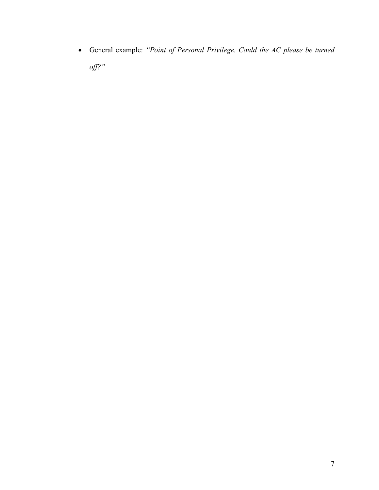• General example: *"Point of Personal Privilege. Could the AC please be turned off?"*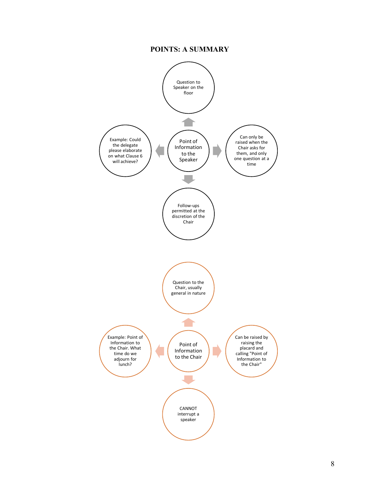## **POINTS: A SUMMARY**

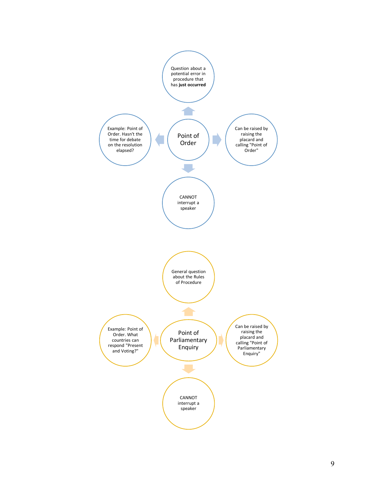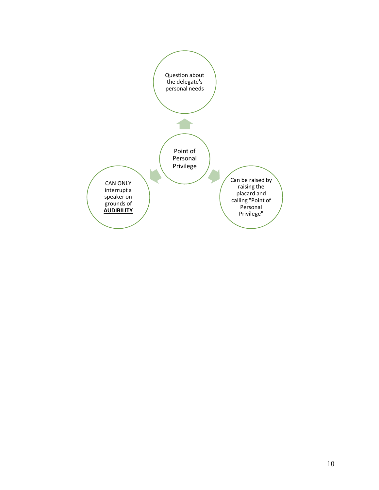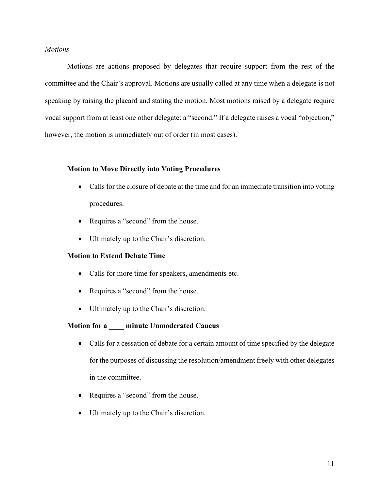## *Motions*

Motions are actions proposed by delegates that require support from the rest of the committee and the Chair's approval. Motions are usually called at any time when a delegate is not speaking by raising the placard and stating the motion. Most motions raised by a delegate require vocal support from at least one other delegate: a "second." If a delegate raises a vocal "objection," however, the motion is immediately out of order (in most cases).

#### **Motion to Move Directly into Voting Procedures**

- Calls for the closure of debate at the time and for an immediate transition into voting procedures.
- Requires a "second" from the house.
- Ultimately up to the Chair's discretion.

## **Motion to Extend Debate Time**

- Calls for more time for speakers, amendments etc.
- Requires a "second" from the house.
- Ultimately up to the Chair's discretion.

## **Motion for a \_\_\_\_ minute Unmoderated Caucus**

- Calls for a cessation of debate for a certain amount of time specified by the delegate for the purposes of discussing the resolution/amendment freely with other delegates in the committee.
- Requires a "second" from the house.
- Ultimately up to the Chair's discretion.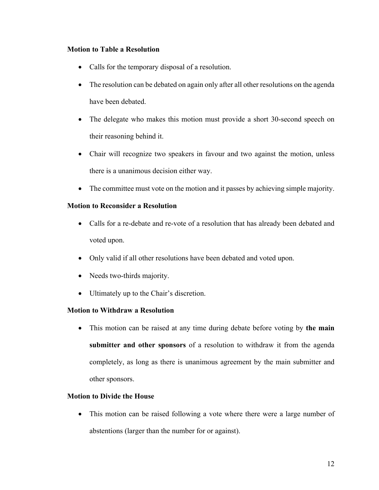## **Motion to Table a Resolution**

- Calls for the temporary disposal of a resolution.
- The resolution can be debated on again only after all other resolutions on the agenda have been debated.
- The delegate who makes this motion must provide a short 30-second speech on their reasoning behind it.
- Chair will recognize two speakers in favour and two against the motion, unless there is a unanimous decision either way.
- The committee must vote on the motion and it passes by achieving simple majority.

## **Motion to Reconsider a Resolution**

- Calls for a re-debate and re-vote of a resolution that has already been debated and voted upon.
- Only valid if all other resolutions have been debated and voted upon.
- Needs two-thirds majority.
- Ultimately up to the Chair's discretion.

## **Motion to Withdraw a Resolution**

• This motion can be raised at any time during debate before voting by **the main submitter and other sponsors** of a resolution to withdraw it from the agenda completely, as long as there is unanimous agreement by the main submitter and other sponsors.

## **Motion to Divide the House**

• This motion can be raised following a vote where there were a large number of abstentions (larger than the number for or against).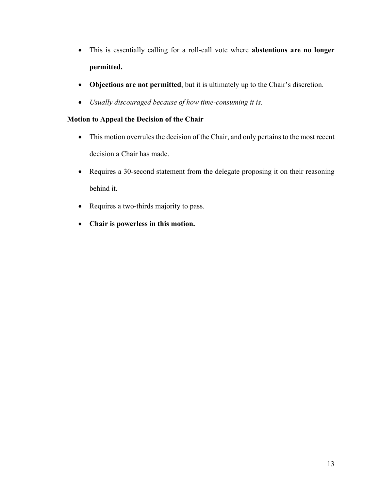- This is essentially calling for a roll-call vote where **abstentions are no longer permitted.**
- **Objections are not permitted**, but it is ultimately up to the Chair's discretion.
- *Usually discouraged because of how time-consuming it is.*

## **Motion to Appeal the Decision of the Chair**

- This motion overrules the decision of the Chair, and only pertains to the most recent decision a Chair has made.
- Requires a 30-second statement from the delegate proposing it on their reasoning behind it.
- Requires a two-thirds majority to pass.
- **Chair is powerless in this motion.**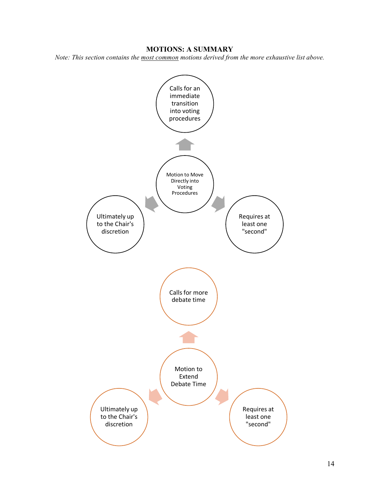#### **MOTIONS: A SUMMARY**

*Note: This section contains the most common motions derived from the more exhaustive list above.*

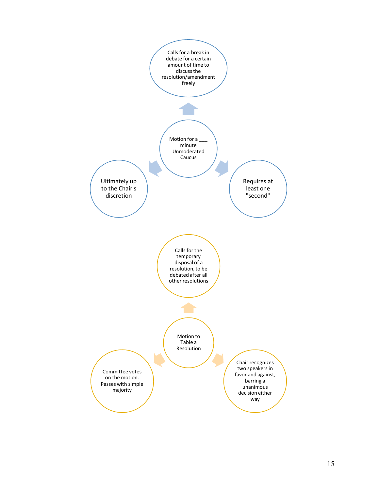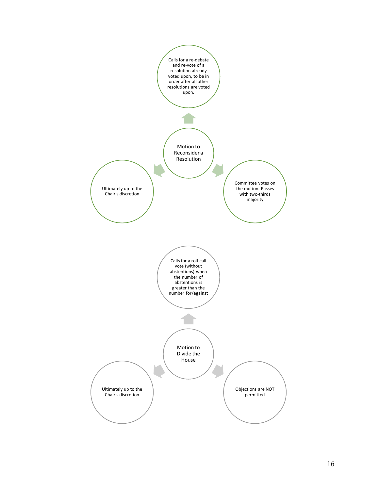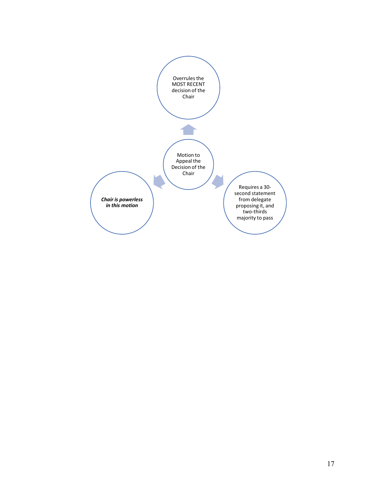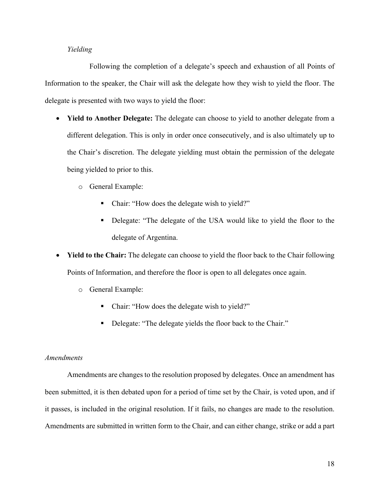## *Yielding*

Following the completion of a delegate's speech and exhaustion of all Points of Information to the speaker, the Chair will ask the delegate how they wish to yield the floor. The delegate is presented with two ways to yield the floor:

- **Yield to Another Delegate:** The delegate can choose to yield to another delegate from a different delegation. This is only in order once consecutively, and is also ultimately up to the Chair's discretion. The delegate yielding must obtain the permission of the delegate being yielded to prior to this.
	- o General Example:
		- Chair: "How does the delegate wish to yield?"
		- Delegate: "The delegate of the USA would like to yield the floor to the delegate of Argentina.
- **Yield to the Chair:** The delegate can choose to yield the floor back to the Chair following Points of Information, and therefore the floor is open to all delegates once again.
	- o General Example:
		- Chair: "How does the delegate wish to yield?"
		- Delegate: "The delegate yields the floor back to the Chair."

## *Amendments*

Amendments are changes to the resolution proposed by delegates. Once an amendment has been submitted, it is then debated upon for a period of time set by the Chair, is voted upon, and if it passes, is included in the original resolution. If it fails, no changes are made to the resolution. Amendments are submitted in written form to the Chair, and can either change, strike or add a part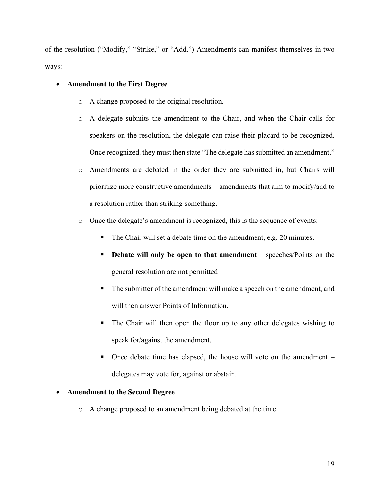of the resolution ("Modify," "Strike," or "Add.") Amendments can manifest themselves in two ways:

## • **Amendment to the First Degree**

- o A change proposed to the original resolution.
- o A delegate submits the amendment to the Chair, and when the Chair calls for speakers on the resolution, the delegate can raise their placard to be recognized. Once recognized, they must then state "The delegate has submitted an amendment."
- o Amendments are debated in the order they are submitted in, but Chairs will prioritize more constructive amendments – amendments that aim to modify/add to a resolution rather than striking something.
- o Once the delegate's amendment is recognized, this is the sequence of events:
	- The Chair will set a debate time on the amendment, e.g. 20 minutes.
	- § **Debate will only be open to that amendment** speeches/Points on the general resolution are not permitted
	- The submitter of the amendment will make a speech on the amendment, and will then answer Points of Information.
	- The Chair will then open the floor up to any other delegates wishing to speak for/against the amendment.
	- Once debate time has elapsed, the house will vote on the amendment delegates may vote for, against or abstain.

## • **Amendment to the Second Degree**

o A change proposed to an amendment being debated at the time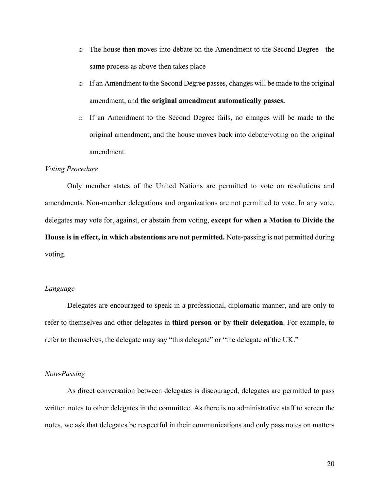- o The house then moves into debate on the Amendment to the Second Degree the same process as above then takes place
- o If an Amendment to the Second Degree passes, changes will be made to the original amendment, and **the original amendment automatically passes.**
- o If an Amendment to the Second Degree fails, no changes will be made to the original amendment, and the house moves back into debate/voting on the original amendment.

#### *Voting Procedure*

Only member states of the United Nations are permitted to vote on resolutions and amendments. Non-member delegations and organizations are not permitted to vote. In any vote, delegates may vote for, against, or abstain from voting, **except for when a Motion to Divide the House is in effect, in which abstentions are not permitted.** Note-passing is not permitted during voting.

#### *Language*

Delegates are encouraged to speak in a professional, diplomatic manner, and are only to refer to themselves and other delegates in **third person or by their delegation**. For example, to refer to themselves, the delegate may say "this delegate" or "the delegate of the UK."

#### *Note-Passing*

As direct conversation between delegates is discouraged, delegates are permitted to pass written notes to other delegates in the committee. As there is no administrative staff to screen the notes, we ask that delegates be respectful in their communications and only pass notes on matters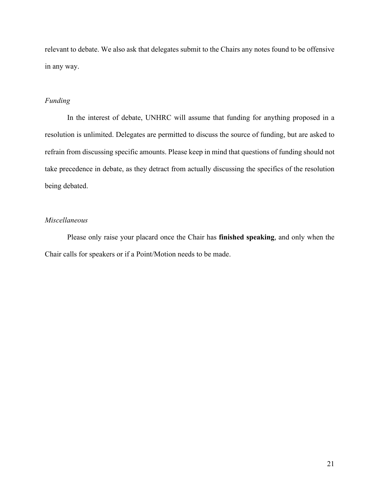relevant to debate. We also ask that delegates submit to the Chairs any notes found to be offensive in any way.

## *Funding*

In the interest of debate, UNHRC will assume that funding for anything proposed in a resolution is unlimited. Delegates are permitted to discuss the source of funding, but are asked to refrain from discussing specific amounts. Please keep in mind that questions of funding should not take precedence in debate, as they detract from actually discussing the specifics of the resolution being debated.

## *Miscellaneous*

Please only raise your placard once the Chair has **finished speaking**, and only when the Chair calls for speakers or if a Point/Motion needs to be made.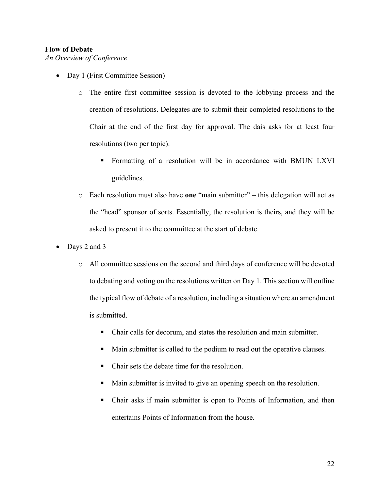## **Flow of Debate**

*An Overview of Conference*

- Day 1 (First Committee Session)
	- o The entire first committee session is devoted to the lobbying process and the creation of resolutions. Delegates are to submit their completed resolutions to the Chair at the end of the first day for approval. The dais asks for at least four resolutions (two per topic).
		- § Formatting of a resolution will be in accordance with BMUN LXVI guidelines.
	- o Each resolution must also have **one** "main submitter" this delegation will act as the "head" sponsor of sorts. Essentially, the resolution is theirs, and they will be asked to present it to the committee at the start of debate.
- Days 2 and 3
	- o All committee sessions on the second and third days of conference will be devoted to debating and voting on the resolutions written on Day 1. This section will outline the typical flow of debate of a resolution, including a situation where an amendment is submitted.
		- Chair calls for decorum, and states the resolution and main submitter.
		- § Main submitter is called to the podium to read out the operative clauses.
		- Chair sets the debate time for the resolution.
		- § Main submitter is invited to give an opening speech on the resolution.
		- Chair asks if main submitter is open to Points of Information, and then entertains Points of Information from the house.